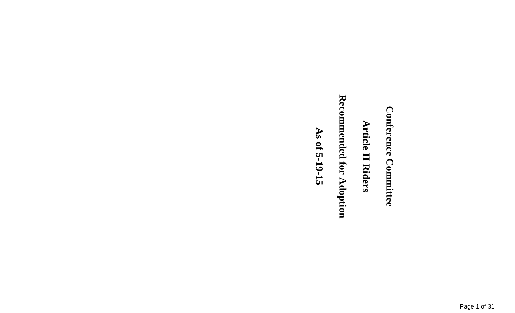# **Conference Committee Conference Committee**

### **Article II Riders Article II Riders**

# Recommended for Adoption **Recommended for Adoption**

As of 5-19-15 **As of 5-19-15**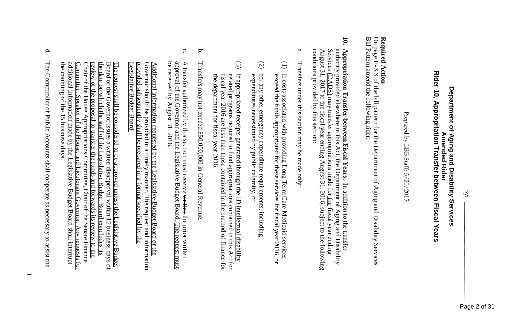### **Rider 10, Appropriation Transfer between Fiscal Years** Department of Aging and Disability Services **Department of Aging and Disability Services Appropriation Transfer between Fiscal Years Amended Rider Amended Rider**

Prepared by LBB Staff: Prepared by LBB Staff: 5/20/2015

### Required Action **Required Action**

On page II-XX of the bill pattern for the Department of Aging and Disability Services II-XX of the bill pattern for the Department of Aging and Disability Services Bill Pattern amend the following rider:

- **10. 10. Appropriation Transfer between Fiscal Years.** Appropriation Transfer between Fiscal Years. In addition to the transfer August 31, 2017 to the fiscal year ending August 31, 2016, subject to the following August 31,  $2017$  to the Services authority provided elsewhere in this Act, the Department of Aging and Disability authority provided elsewhere in this Act, the Department of Aging and Disability (DADS) may transfer appropriations made for fiscal year ending August 31, 2016, subject to the following In addition to the transfer the fiscal year ending
- a. Transfers under this section may be made only: Transfers under this section may be made only:

conditions provided by this section:

conditions provided by this section:

- (1) if costs associated with providing Long Term Care Medicaid services exceed the funds appropriated for these services for fiscal year 2016, or exceed the funds appropriated for these services for fiscal year 2016, or if costs associated with providing Long Term Care Medicaid services
- (2) expenditures necessitated by public calamity, or for any other emergency expenditure requirements, including expenditures necessitated by public calamity, or for any other emergency expenditure requirements, including
- (3) if appropriated receipts generated through the HD-intellectual disability related programs required to fund appropriations contained in this Act for the department for fiscal year 2016. the department for fiscal year 2016. fiscal year 2016 are less than those contained in the method of finance for fiscal year 2016 are less than those contained in the method of finance for related programs required to fund appropriations contained in this Act for if appropriated receipts generated through the ID intellectual disability
- b. Transfers may not exceed \$50,000,000 in General Revenue Transfers may not exceed \$50,000,000 in General Revenue.
- c. be approval of the Governor and the Legislative Budget Board. The request must be received by August 31, 2016. approval of the Governor and the Legislative Budget Board. A transfer authorized by this section must receive <del>written</del> the prior written A transfer authorized by this section must receive written received by August 31, 2016. the prior written The request must

Legislative Budget Board. provided subsequently shall be prepared in a format specified by the provided subsequently shall be prepared in a format specified by the Governor should be provided in a timely manner. The request and information Additional information requested by the Legislative Budget Board or the Additional information requested by the Legislative Budget Board or the Governor should be provided in a timely manner. The request and information egislative Budget Board.

the counting of the 15 business days. additional information made by the Legislative Budget Board shall inter Committee, Speaker of the House, and Lieutenant Governor. Any requests for review of the proposal to transfer the funds and forwards its review to the Chair of the House Appropriations Committee, Chair of the Senate Finan Chair of the House Appropriations Committee, Chair of the Senate Finance review of the proposal to transfer the the date on which the staff of the Legislative Budget Board concludes its the date on which the staff of the Legislative Budget Board concludes its Board or the Governor issues a written disapproval within 15 business days of Board or the Governor issues a written disapproval within 15 business days of the counting of the 15 business days additional information made by the Legislative Budget Board shall interrupt The request shall be considered to be approved unless the Legislative Budget commutee. Speaker of the House, and Lieutenant Governor. shall be considered to be approved unless the Legislative Budget funds and forwards its review to the **Senate Finance** Any requests for

d. The Comptroller of Public Accounts shall cooperate as necessary to assist the The Comptroller of Public Accounts shall cooperate as necessary to assist the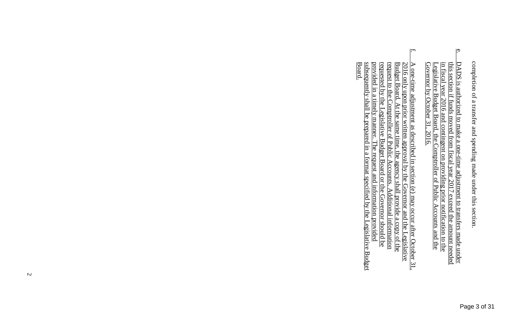- $\Omega$ e. DADS is authorized to make a one-time adjustment to transfers made under Legislative Budget Board, the C<br>Governor by October 31, 2016. in fiscal year 2016 and contingent on providing prior notification to the Legislative Budget Board, the Comptroller of Public Accounts and the Legislative Budget Board, the Comptroller of Public Accounts in fiscal year 2016 and <u>DADS is authorized to make a one-time adjustment to transfers made under</u><br>this section if funds moved from fiscal year 2017 exceed the amount needed by October 31, 2016. if funds moved from fiscal year 2017 exceed the amount needed contingent on providing prior notification to the
- f. Board. subsequently shall be prepared in a format specified by the Legislative Budget subsequently shall be prepared in a format specified by the Legislat provided in a timely manner. The request and information provided provided in a timely manner. The request and information provided requested by the Legislative Budget Board or the Governor should be requested by the Legislative Budget Board or the Governor should be request to the Comptroller of Public Accounts. Additional information request to the C Budget Board. At the same time, the agency shall provide a copy of the Budget Board. At the same time, the agency shall provide a copy of the  $\frac{2016}{2016}$  only upon prior written approval by the Governor and the Legislative 2016 only upon prior written approval by the Governor and the Legislative A one-time adjustment as described in section (e) may occur after October 31, A one-time adjustment as described in section (e) may occur after October 31, omptroller of Public Accounts. Additional information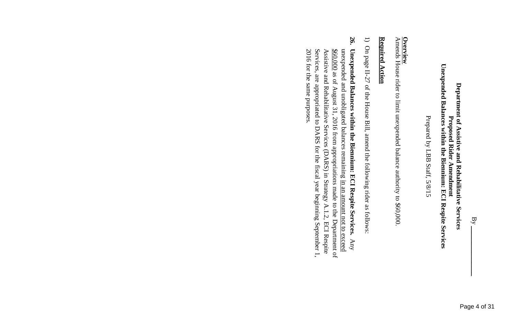### Unexpended Balances within the Biennium: ECI Respite Services **Unexpended Balances within the Biennium: ECI Respite Services** Department of Assistive and Rehabilitative Services **Department of Assistive and Rehabilitative Services** Proposed Rider Amendment **Proposed Rider Amendment**

Prepared by LBB Staff, 5/8/15 Prepared by LBB Staff, 5/8/15

Amends **Overview** House rider to limit unexpended balance authority to \$60,000.

### **Required Action Required Action**

- $\overline{\phantom{0}}$ On page II-27 of the House Bill, amend the following rider as follows:
- 26. **26. Unexpended Balances within the Biennium: ECI Respite Services.** Unexpended Balances within the Biennium: ECI Respite Services. Any Services, are appropriated to DARS for the fiscal year beginning September 1, 2016 for the same purposes. unexpended and unobligated balances remaining <u>in an amount not to exceed</u>  $\frac{$60,000}{0.000}$  as of August 31, 2016 from appropriations made to the Department of 2016 for the same p Services, are appropriated to DARS for the fiscal year beginning September 1, Assistive and Rehabilitative Services (DARS) in Strategy A.1.2, ECI Respite Assistive and Rehabilitative Services (DARS) in Strategy A.1.2, ECI Respite unexpended and unobligated balances remaining in an amount not to exceed as of August 31, 2016 from appropriations made to the Department of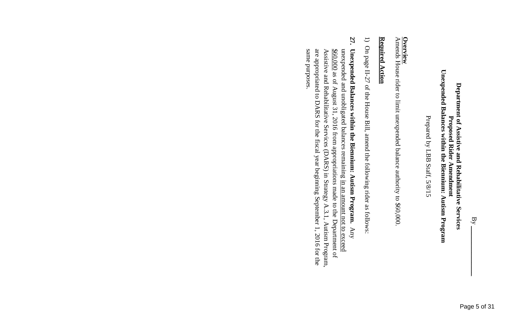### Unexpended Balances within the Biennium: Autism Program **Unexpended Balances within the Biennium: Autism Program** Department of Assistive and Rehabilitative Services **Department of Assistive and Rehabilitative Services** Proposed Rider Amendment **Proposed Rider Amendment**

Prepared by LBB Staff, 5/8/15 Prepared by LBB Staff, 5/8/15

Amends **Overview** House rider to limit unexpended balance authority to \$60,000.

### <u>Required Action</u> **Required Action**

- $\overline{\phantom{0}}$ On page II-27 of the House Bill, amend the following rider as follows:
- 27. **27. Unexpended Balances within the Biennium: Autism Program.** Unexpended Balances within the Biennium: Autism Program.  $\mathrm{Any}$ are appropriated to DARS for the fiscal year beginning September 1, 2016 for the unexpended and unobligated balances remaining in an amount not to exceed  $\frac{$60,000}{0.000}$  as of August 31, 2016 from appropriations made to the Department of same purposes. same purposes. are appropriated to DARS for the fiscal year beginning September 1, 2016 for the Assistive and Rehabilitative Services (DARS) in Strategy A.3.1, Autism Program, Assistive and Rehabilitative Services (DARS) in Strategy A.3.1, Autism Program, unexpended and unobligated balances remaining in an amount not to exceed as of August 31, 2016 from appropriations made to the Department of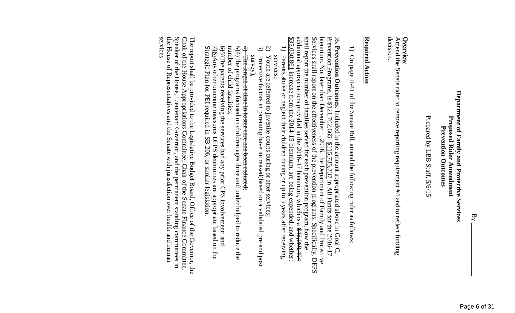Prepared by LBB Staff, 5/6/15 Prepared by LBB Staff, 5/6/15

### **Overview**

Amend the Senate rider to remove reporting requirement #4 and to reflect funding Senate rider to remove reporting requirement #4 and to reflect funding decision.

### Required Action **Required Action**

1) On page II-41 of the Senate Bill, amend the following rider as follows: On page II-41 of the Senate Bill, amend the following rider as follows:

additional appropriations provided in the 2016-17 biennium, which is a <del>\$46,060,494</del> shall report the number of families served for each prevention program, how the Services shall report on the effectiveness of the prevention programs. Specifically, DFPS biennium. Not later than December 1, 2016, the Department of Family and Protective \$35,030,861 additional appropriations provided in the 2016-17 biennium, which is a \$46,060,494 shall report the number of families served for each prevention program, how the Services shall report on the effectiveness of the prevention programs. Specifically, DFPS biennium. Not later than December 1, 2016, the Department of Family and Protective Prevention Programs, is 35. **Prevention Outcomes.** increase from the 2014-15 biennium, are being expended, and whether: \$121,702,665 \$115,735,737 Included in the amount appropriated above in All Funds for the 2016-17 in Goal C,

- $\frac{1}{1}$ ). Parents abuse or neglect their children during or up to 3 years after receiving 1). Parents abuse or neglect their children during or up to 3 years after receiving services; Parents abuse or neglect their children during or up to 3 years after receiving
- Youth are referred to juvenile courts during or after services; Youth are referred to juvenile courts during or after services;
- $\widehat{\alpha}$   $\widehat{\alpha}$ Protective factors in parenting have increased(based on a validated pre and post Protective factors in parenting have increased<br>(based on a validated pre and post survey); <br>  $\label{eq:2} \text{survey}$
- $\ddagger$ The length of time in foster care has been reduced; The length of time in foster care has been reduced;

number of child fatalities;  $594$ )The programs focused on children ages three and under helped to reduce the number of child fatalities;  $5\overline{4}$ )The programs focused on children ages three and under helped to reduce

 $65$ )The parents receiving the services had any prior CPS involvement; and Strategic Plan for PEI required in SB 206, or similar legislation. Strategic Plan for PEI required in SB 206, or similar legislation.  $\overline{+90}$ Any other outcome measures DFPS determines are appropriate based on the  $7/6$ )Any other outcome measures DFPS determines are appropriate based on the 5)The parents receiving the services had any prior CPS involvement; and

services. the House of Representatives and the Senate with jurisdiction over health and human Speaker of the House, Lieutenant Governor, and the permanent standing committees in The report shall be provided to the Legislative Budget Board, Office of the Governor, the the House of Representatives and the Senate with jurisdiction over health and human Speaker of the House, Lieutenant Governor, and the permanent standing committees i Chair of the House Appropriations Committee, Chair of the Senate Finance Committee, Chair of the House Appropriations Committee, Chair of the Senate Finance Committee, The report shall be provided to the Legislative Budget Board, Office of the Governor, the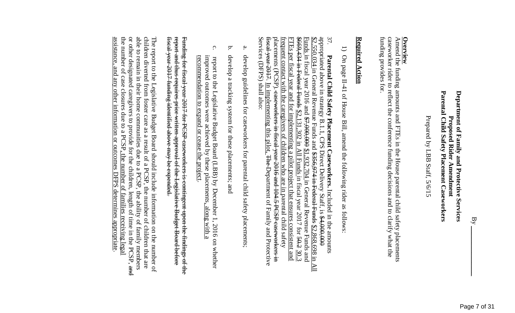Prepared by LBB Staff, 5/6/15 Prepared by LBB Staff, 5/6/15

### **Overview**

funding provides for. caseworker rider to reflect the conference funding decisions and to clarify what the funding provides for. caseworker rider to reflect the conference funding decisions and to clarify what the Amend the funding amounts and FTEs in the House parental child safety placements Amend the funding amounts and FTEs in the House parental child safety placements

### Required Action **Required Action**

 $\overline{\phantom{0}}$ On page II-41 of House Bill, amend the following rider as follows:

37. <u>Funds</u> in fiscal year 2016 and  $\frac{47,000,000}{21,000}$  \$1,932,704 in General Revenue Funds and  $\frac{20.3}{6669,434}$  in Feederal Funds  $\frac{22,131,302}{21,000}$  in All Funds in fiscal year 2017 for  $\frac{50-3}{20.3}$ appropriated above in strategy B.1.1, CPS Direct Delivery Staff, is \$4,000,000 <del>fiscal year 2017</del>. In implementing this pilot,<br>Services (DFPS) shall also: Services (DFPS) shall fiscal year 2017. In implementing this pilot, The Department of Family and Protective placements frequent contact with the caregivers of children who are in parental child safety frequent contact with the caregivers of children who are in FTEs per fiscal year and for implementing a pilot project that ensures consistent and \$669,434 in Federal Funds Funds in fiscal year 2016 and \$7,000,000  $$2.550,034$  in General Revenue Funds and  $$356,974$  in Federal Funds  $$2.868,698$  in All  $$2.550,034$  in General Revenue Funds appropriated above in strategy B.1.1, CPS Direct Delivery Staff, is  $$4,000,000$ FTEs per fiscal year and for implementing a pilot project that ensures consistent and Parental Child Safety Placement Caseworkers. Included in the amounts **Parental Child Safety Placement Caseworkers.** (PCSP). caseworkers  $$2,131,302$  in All Funds in fiscal year 2017 for  $$9.2$ in fiscal year 2016 and 104.5 and \$356,974 in Federal Funds  $$1,932,704$  in General Revenue Funds and The Department of Family and Protective parental child safety PCSP caseworkers in in the amounts \$2,868,698 in All

- a. develop guidelines for caseworkers for parental child safety develop guidelines for caseworkers for parental child safety placements;
- b. develop a tracking system for these placements; and a tracking system for these placements; and
- c. recommendation to expand or cease the project. recommendation to expand or cease the project. report to the Legislative Budget Board (LBB) by December 1, 2016 on whether<br>improved outcomes were achieved by these placements<u>, along with a</u> improved outcomes were achieved by these report to the Legislative Budget Board (LBB) by December placements, along 1, 2016 on whether

report and thus requires prior written approval of the Legislative Budget Board before fiscal year 2017 funding identified above may be expended. Funding for fiscal year  $2017$  for PCSP caseworkers is contingent upon the findings of the fiscal year 2017 funding identified above may be expended. report and thus requires prior written approval of the Legislative Budget Board Funding for fiscal year 2017 for PCSP caseworkers is contingent upon the findings of the

the number of case closures due to a PCSP, the number of families receiving legal or other designated caregivers to provide for the children, length of time in the PCSP, and assistance, and any other information or outcomes DFPS determines appropriate able to remain in their home communities due to a PCSP, the ability of family members children diverted from foster care as a result of a PCSP, the number of children that are assistance, and any other information or outcomes DFPS determines appropriate. the number of case closures due to a PCSP, the number of families receiving legal or other designated caregivers able to remain in their home communities children diverted from foster care as a result of a PCSP, the number of children that are The report to the Legislative Budget Board should include information on the number of The report to the Legislative Budget Board should include information on the number of to provide for the children, length of time in the PCSP, and due to a PCSP, the ability of family members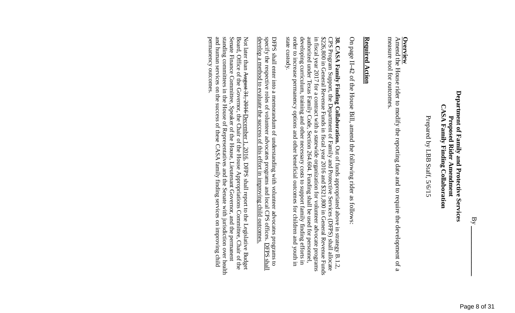### Department of Family and Protective Services **Department of Family and Protective Services CASA Family Finding Collaboration CASA Family Finding Collaboration** Proposed Rider Amendment **Proposed Rider Amendment**

Prepared by LBB Staff, 5/6/15 Prepared by LBB Staff, 5/6/15

### **Overview**

measure tool for outcomes. measure tool for outcomes. Amend the House rider to modify the reporting date and to require the development of a House rider to modify the reporting date and to require the development of a

### Required Action **Required Action**

On page II -42 of the House Bill, amend the following rider as follows:

order to increase permanency options and other beneficial outcomes for children and youth in developing curriculum, training and other necessary costs to support family finding efforts in in fiscal year 2017 for a contract with a statewide organization for volunteer advocate programs authorized under Texas Family Code, Section 264.604. Funding shall be used for personnel, state custody. 38. CASA Family Finding Collaboration. Out of funds appropriated above in strategy B.1.2. state custody. order to increase permanency options and other beneficial outcomes for children and youth in developing curriculum, training and other necessary costs to support family finding efforts in authorized under Texa in fiscal year 2017 for a contract with a statewide organization for volunteer advocate programs \$226,800 in General Revenue Funds in fiscal year 2016 and \$321,800 in General Revenue Funds \$226,800 in General Revenue Funds in fiscal year 2016 and \$321,800 in General Revenue Funds CPS Program Support, the Department of Family and Protective Services (DFPS) shall allocate CPS Program Support, the Department of Family and Protective Services (DFPS) shall allocate **38. CASA Family Finding Collaboration.** s Family Code, Section 264.604. Out of funds appropriated above Funding shall be used for personnel, in strategy B.1.2,

develop a method to evaluate the success of this effort in improving child outcomes. DFPS shall enter into a memorandum of understanding with volunteer advocates programs to specify the respective roles of volunteer advocates programs and local CPS offices. <u>DFPS shall</u> develop a method to evaluate the success of this effort in improving child outcomes. specify the respective roles of volunteer advocates programs and local CPS offices. DFPS shall enter into a memorandum of understanding with volunteer advocates programs to

Senate Finance Committee, Speaker of the House, Lieutenant Governor, and the permanent<br>standing committees in the House of Representatives and the Senate with jurisdiction over health permanency outcomes. and human services on the success of these CASA family finding services on improving child Not later than <del>August 31, 2016 <u>December</u> 1, 2016</del>, DFPS shall report to the Legislative Budget<br>Board, Office of the Governor, the Chair of the House Appropriations Committee, Chair of the permanency outcomes. and human services standing committees in the House of Representatives and the Senate with Senate Finance Committee, Speaker of the House, Lieutenant Governor, and the Board, Office of the Governor, the Chair of the House Appropriations Committee, Chair of Not later than August 31, 2016 on the success of these CASA family finding services on improving child December 1, 2016, DFPS shall report to the Legislative Budget jurisdiction over health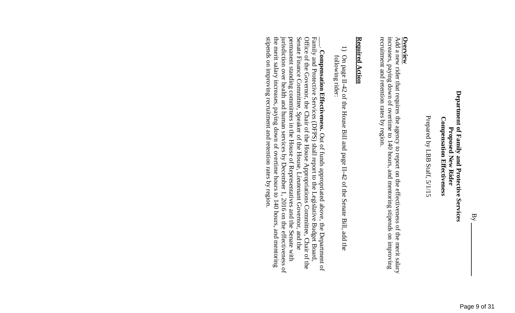### Department of Family and Protective Services **Department of Family and Protective Services Compensation Effectiveness Compensation Effectiveness Proposed New Rider Proposed New Rider**

Prepared by LBB Staff, 5/1 Prepared by LBB Staff, 5/1/15

**Overview**<br>Add a new rider that requires the agency to report on the effectiveness of the merit salary<br>Add a new rider that requires the agency to report on the effectiveness of the merit salary recruitment and retention rates by region. increases, paying down of overtime to 140 hours, and mentoring stipends on improving recruitment and retention rates by region. Add a new rider that paying down of overtime to 140 hours, and mentoring stipends on improving requires the agency to report on the effectiveness of the merit salary

### Required Action **Required Action**

 $\overline{\phantom{0}}$ following rider: following rider: On page II-42 of the House Bill and page II-42 of the Senate Bill, add the

stipends on improving recruitment and retention rates by region. Senate Finance Committee, Speaker of the House, Lieutenant Governor, and the permanent standing committees in the House of Representatives and the Senate with the merit salary increases, paying down of overtime hours to 140 hours, and mentoring jurisdiction over health and human services by December 1, 2016 on the effectiveness of Office of the Governor, the Chair of the House Appropriations Committee, Chair of the Family and Protective Services (DFPS) shall report to the Legislative Budget Board, stipends on improving recruitment and retention rates by region. the merit salary increases, payin jurisdiction over health and human services by December 1, 2016 on the effectiveness of permanent standing committees in the House of Representatives and the Senate with Senate Finance Committee Office of the Governor, the Chair of the House Appropriations Committee, Chair of the Family and Protective Services (DFPS) shall report to the Legislative Budget Board,  $\vert$ **Compensation Effectiveness.** , Speaker of the House, Lieutenant Governor, and the g down of overtime hours to 140 hours, and mentoring Out of funds appropriated above, the Department of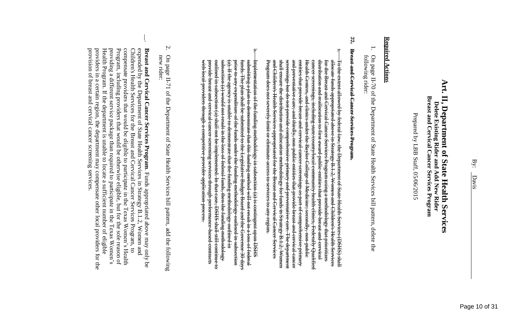### **Art. II, Department of State Health Services** Art. II, Department of State Health Services Breast and Cervical Cancer **Breast and Cervical Cancer Services Program** Delete Existing Rider and Add New Rider **Delete Existing Rider and Add New Rider** Services Program

Prepared by LBB Staff, 05/06/2015 Prepared by LBB Staff, 05/06/2015

### **Required Actions Required Actions**

1. following rider: following rider: On page II-70 of the Department of State Health Services bill pattern, delete the

### **77. Breast and Cervical Cancer Services Program.**

- a.  $\overline{+}$ o the extent allowed by federal law, the Department of State Health Services (DSHS) shall allocate funds appropriated above in Strategy B.1.2, Women and Children's Health Services for the Breast and Cervical Cance Program does s<del>hall ensure the distribution and allocation methodology for funds in Strategy B.1.2, Women</del><br>en<del>d Children's Health Services appropriated for the Breast and Cervical Cancer Services</del><br>= <sup>end C</sup>h<del>ildren's Health Services ap</del> sereenings but do not provide comprehensive primary and preventative care. The department and preventative care; and thirdly, non-public entities that provide breast and cervical cancer Health Centers, and climes under the Baylor College of Medicine; secondly, non public cancer screenings, including state/county/local community health clinics, Program does not severely limit or eliminate access to services to any region. shall ensure the distribution and allocation methodology for funds in Strategy B.1.2, Women screenings but do not provide comprehensive primary and preventative care. The department and preventative care; and t entities that provide breast and cervical cancerentities that provide breast and cervical cancer screenings as part of comprehensive primary Health Centers, and clinics under the Baylor College of Medicine; secondly, non-public cancer screenings, including state/county/loca distribution and reallocation to first award public entities that provide breast and cervical for the Breast and Cervical Cancer Services Program using a methodology that prioritizes allocate funds appropriated above in Strategy B.1.2, Women and To the extent allowed by federal law, the Department of State Health Services (DSHS) shall ildren's Health Services appropriated for the Breast and Cervical Cancer Services not severely limit or eliminate access to services to any region. hirdly, non-public entities that provide breast and cervical cancer l community health clinics, Federally Qualified sereenings as part of comprehensive Children's Health Services Federally Qualified primary
- $\sigma$ s<del>ubsection (a) would not result in the loss of federal funds, then the funding methodology<br>outlined in subsection (a) shall not be implemented. In that ease, DSHS shall still continue to</del> (a)  $f$  funds. The plan shall be submitted to the Legislative Budget Board and the Governor 30 days <del>Implementation of the funding methodology in subsection (a) is contingent upon DSHS<br>submitting a plan to demonstrate that this funding method will not result in a loss of federal</del> <del>with local providers through a competitive</del> with local providers through a competitive provider application process. provide breast and cervical cancer screening services through performance based contracts provide breast and cervical cancer screening services through performance-based contracts outlined in subsection (a) shall not be implemented. In that case subsection (a) would not result in the loss of federal funds, then the funding methodology (a). If the agency is unable to demonstrate that the funding methodology outlined in <del>prior to any expenditure of the funds under the funding methodology outlined in subsection</del> prior to any expenditure of the funds under the funding methodology outlined funds. The plan shall be submitted to the Legislative Budget Board and the Governor 30 days Implementation of the funding methodology in subsection (a) is contingent upon DSHS <del>. If the agency is unable to demonstrate that the funding methodology outlined in</del> ing a plan to demonstrate that this funding method will not result in a loss of federal <del>provider</del> application , DSHS shall still continue to in subsection
- 2. On page II-71 of the Department of State Health Services bill pattern, add the following On page II-71 of the Department of State Health Services bill pattern, add the following<br>new rider:
- $\lfloor$ provision of breast and cervical cancer screening services providers in a certain region, the department may compensate other local providers for the Health Program. If the department is unable to locate a sufficient number of eligible providing a different service package than required to participate in the Texas Women's Program, including providers that would be otherwise eligible, but for the sole reason of compensate providers that would be eligible to participate in the Texas Women's Health Children's Health Services for the Breast and Cervical Cancer Services Program, to expended by the Department of State Health Services in Strategy B.1.2, Women and provision of breast and cervical cancer screening services. providers in a certain region, the department may compensate other local providers for the Health Program. If the department is unable to locate a sufficient number of eli providing a different service package than required to participate in the Texas Women's Program, including providers that would be otherwise eligible, but for the sole reason of compensate providers that would be eligible to participate in the Texas Women's Health Children's Health Services for the Breast and Cervical Cancer Services Program, expended by the Department of State Health Services in Strategy B.1.2, Women and Breast and Cervical Cancer Services Program. Funds appropriated above may only be **Breast and Cervical Cancer Services Program**. Funds appropriated above may only be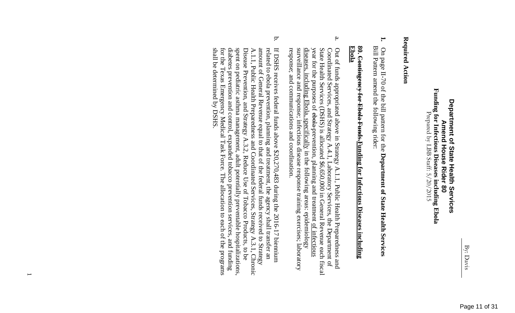### Funding for Infectious Diseases including Ebola  $\frac{P}{P}$ repared by LBB Staff: 5/20/2015 **Funding for Infectious Diseases including Ebola Department of State Health Services** Department of State Health Services Prepared by LBB Staff: **Amend House Rider Americ House Rider 80**

### Required Action **Required Action**

**1.** Bill Pattern amend the following rider: On page II-70 of the bill pattern for the Department of State Health Services On page II-70 amend the following rider: of the bill pattern for the **Department of State Health Services**

# 80. Contingency for Ebola Funds-<u>Funding</u> for Infectious Diseases including **Contingency for Ebola Funds.Funding for Infectious Diseases including Ebola**

- a. response; and communications and coordination. surveillance and response; infectious disease response training exercises; laboratory diseases, including  $Ebola$ , specifically in the following areas: epidemiology year for the purposes of ebola-prevention, planning and treatment of infectious Coordinated Services, and Strategy A.4.1, Out of funds appropriated above in Strategy A.1.1, Public Health Preparedness and response; and communic surveillance and response; infectious disease response training exercises; laboratory diseases, including Ebola, specifically State Health Services (DSHS) is allocated \$6,650,000 in General Revenue each fiscal State Health Services (DSHS) is allocated \$6,650,000 in General Revenue each fiscal Coordinated Services, and Strategy A.4.1, Laboratory Services, the Department of Out of funds appropriated above in Strategy A.1.1, Public Health Preparedness and the purposes of ebola prevention, planning and treatment of infectious ations and coordination. in the following areas: epidemiology Laboratory Services, the Department of
- b. shall be determined by DSHS. for the Texas Emergency Medical Task Force. The allocation to each of the programs diabetes prevention and control, expanded tobacco prevention services, and funding spent on pediatric asthma management, adult potentially preventable hospitalizations, Disease Prevention, and Strategy A.3.2, Reduce Use of Tobacco Products, to be amount of General Revenue equal to that of the federal funds received to Strategy related to ebola prevention, planning and treatment, the agency shall transfer an If DSHS receives federal funds above  $$20,270,483$  during the  $2016-17$  biennium shall be determined by DSHS. for the Texas Emergency Medical Task Force. diabetes prevention and control, expanded tobacco prevention services, and funding spent on pediatric asthma management, adult potentially preventable hospitalizations, Disease Prevention, and Strategy A.3.2, Reduce Use of Tobacco Products, A.1.1, Public Health Preparedness and Coordinated Services, Strategy A.3.1, Chronic A.1.1, Public Health Preparedness and Coordinated Services, Strategy A.3.1, Chronic amount of General Revenue equal to that of the federal funds received to Strategy related to ebola prevention, planning and treatment, the agency shall transfer an If DSHS receives federal funds above \$20,270,483 during The allocation to each of the programs the 2016-17 biennium

 $\overline{\phantom{0}}$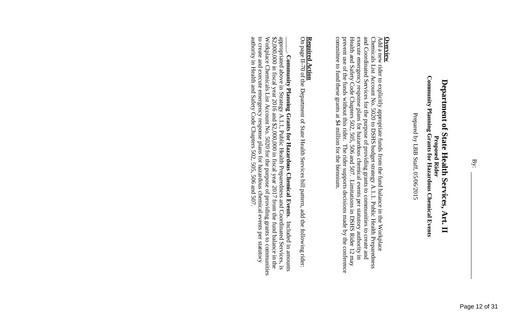Prepared by LBB Staff, 05/06/2015 Prepared by LBB Staff, 05/06/2015

**Overview**<br>Add a new rider to explicitly appropriate funds from the fund balance in the Workplace<br>Chemicals List Account No. 5020 to DSHS budget strategy A.1.1. Public Health Preparedness<br>Chemicals List Account No. 5020 to committee to fund these grants at \$4 million for the biennium. Health and Safety Code Chapters 502, 505, 506 and 507. Limitations in DSHS Rider 12 may and Coordinated Services for the purpose of providing grants to communities to create and execute emergency response plans for hazardous chemical events per statutory authority in committee to fund these grants at \$4 million for the biennium. prevent use of the funds without this rider. The rider supports decisions made by the conference prevent use of the funds without this rider. The rider supports decisions made by the conference Health and Safety Code Chapters 502, 505, 506 and 507. Limitations in DSHS Rider 12 may execute emergency response plans and Coordinated Services for the purpose of providing grants to communities Chemicals List Account No. 5020 to DSHS budget strategy A.1.1. Public Health Preparedness Add a new rider to explicitly appropriate funds from the fund balance in the Workplace hazardous chemical events per statutory authority in to create and

# **Required Action**

On page II-70 of the Department of State Health Services bill pattern, add the following rider:

authority in Health and Safety Code Chapters 502, 505, 506 and 507. Workplace Chemicals List Account No. 5020 for the purpose of providing grants to communities<br>to create and execute emergency response plans for hazardous chemical events per statutory authority in Health and Safety Code Chapters 502, 505, 506 and 507. to create and execute emergency response plans Workplace Chemicals List Account No. 5020 for the purpose of providing grants to communities  $$2,000,000$  in fiscal year  $2016$  and  $$2,000,000$  in fiscal year  $2017$  from the fund balance in the appropriated above  $\vert$ Community Planning Grants for Hazardous Chemical Events. **Community Planning Grants for Hazardous Chemical Events**in Strategy A.1.1, Public Health Preparedness and Coordinated Services, is hazardous chemical events per statutory . Included in amounts Included in amounts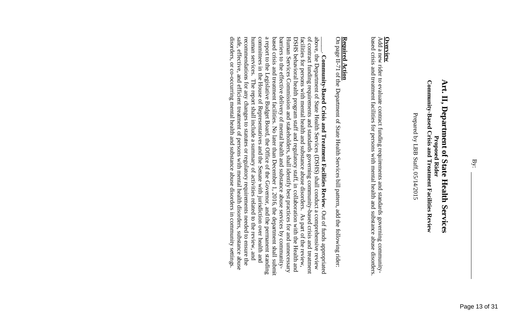Prepared by LBB Staff, 05/14/2015 Prepared by LBB Sta ff, 05/14/2015

### **Overview**

based crisis and treatment facilities for persons with mental health and substance abuse disorders. based crisis and treatment facilities for persons with mental health and substance abuse disorders. Add a new rider to evaluate contract funding requirements and standards governing community-Add a new rider to evaluate contract funding requirements and standards governing community-

# **Required Action**

On page II-71 of the Department of State Health Services bill pattern, add the following rider:

disorders, or co-occurring mental health and substance abuse disorders in community settings. recommendations for any changes to statutes or regulatory requirements needed to ensure the committees in the House of Representatives and the Senate with jurisdiction over health and human services. The report shall include a summary of activities related to the review, and a report to the Legislative Budget Board, the Office of the Governor, and the permanent standing based crisis and treatment facilities. No later than December 1, 2016, the department shall submit barriers to the effective delivery of mental health and substance abuse services by community-DSHS behavioral health program staff and regulatory staff, in collaboration with the Health and<br>Human Services Commission and stakeholders, shall identify best practices for and unnecessary of contract funding requirements and standards governing community-based crisis and treatment above, the Department of State Health Services (DSHS) shall conduct a comprehensive review disorders, or co-occurring mental health and substance abuse disorders safe, recommendations human services committees in the House of Representatives and the Senate with jurisdiction over health and a report to the Legislative Budget Board, the Office of the Governor, and the permanent standing based crisis and treatment facilities. No later than December 1, 2016, the department shall submit barriers to the effective delivery of mental health and substance abuse services by community-Human Services Commission and stakeholders, shall identify best practices for and unnecessary DSHS behavioral health program staff and regulatory staff, in collaboration with the Health and facilities for persons with mental health and substance abuse disorders. facilities for persons with mental health and substance abuse disorders. As part of the review, of contract funding requirements and standards above, the Department of State Health Services  $\vert$ effective, Community-Based Crisis and Treatment Facilities Review. Out of funds appropriated **Community-Based Crisis and Treatment Facilities Review**and efficient treatment of persons with mental health disorders, substance abuse . The report shall include a summary for any changes to statutes or regulatory requirements needed to ensure governing community-based crisis and treatment of activities related to the review, shall conduct a comprehensive review Out of funds appropriated in community settings. As part of the review,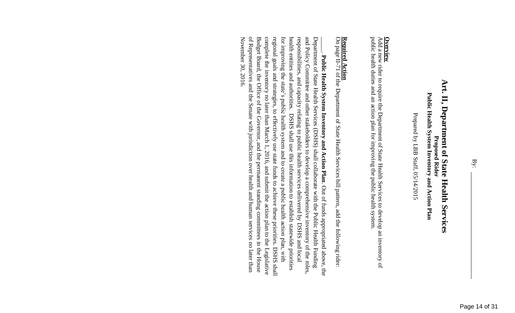Prepared by LBB Staff, 05/14/2015 Prepared by LBB Staff, 05/14/2015

**Overview**<br>Add a new rider to require the Department of State Health Services to develop an inventory of<br>Add a new rider to require the Department of State Health Services to develop an inventory of public health duties and an action plan for improving the public health system. public health duties and an action plan for improving the public health system. Add a new rider to require the Department of State Health Services to develop an inventory of

# **Required Action**

On page II-71 of the Department of State Health Services bill pattern, add the following rider:

November 30, 2016. of Representatives and the Senate with jurisdiction over health and human services no later than Budget Board, the Office of the Governor, and the permanent standing committees in the House complete the inventory no later than March 1, 2016, and submit the action plan to the Legislative regional goals and strategies, to effectively use state funds to achieve these priorities. DSHS shall for improving the state's public health system and to create a public health action plan, with health entities and authorities. DSHS shall use this information to establish statewide priorities responsibilities, and capacity relating to public health services delivered by DSHS and local and Policy Committee and other stakeholders to develop a comprehensive inventory of the roles, Department of State Health Services (DSHS) shall collaborate with the Public Health Funding November 30, 2016. of Representatives and the Senate with jurisdiction over health and human services Budget Board, the Office of the Governor, and the permanent standing committees in the House complete the inventory no later than March 1, 2016, and submit the action plan to the Legislative regional goals and strategies, to effectively use state funds to achieve these priorities. DSHS shall for improving health entities and authorities. DSHS responsibilities, and capacity relating to public health services delivered by DSHS and local and Policy Committee and other stakeholders Department of State Health Services  $\vert$ Public Health System Inventory and Action Plan. Out of funds appropriated above, the **Public Health System Inventory and Action Plan**the state's public health system and to create a public health action plan, with (DSHS) shall collaborate with the shall use this information to establish statewide priorities develop a comprehensive inventory of the roles, Out of funds appropriated above, the Public Health Funding no later than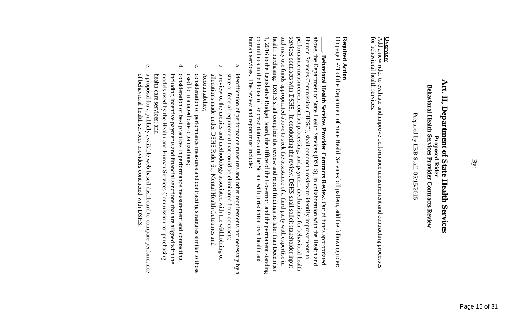By:

Prepared by LBB Staff, 05/15/2015 Prepared by LBB Staff, 05/15/2015

### **Overview**

for behavioral health services. for behavioral health services. Add a new rider to evaluate and improve performance measurement and contracting processes Add a new rider to evaluate and improve performance measurement and contracting processes

## **Required Action**

On page II-71 of the Department of State Health Services bill pattern, add the following rider:

above, the Department of State Health Services (DSHS), in collaboration with the Health and human services. The review and report must include: committees in the House of Representatives and the Senate with jurisdiction over health and health purchasing. and may use funds appropriated above to seek the assistance of a third party with expertise in services contracts with DSHS. In conducting the review, DSHS shall solicit stakeholder input performance measurement, contract processing, and payment mechanisms for behavioral health Human Services Commission (HHSC), shall conduct a review to identify improvements to human services. The review and report must include: committees in the House of Representatives and the Senate with jurisdiction over health and 1, 2016 to the Legislative Budget Board, the Office of the Governor, and the permanent standing 1, 2016 to the Legislative Budget Board, the Office of the Governor, and the permanent standing health purchasing. and may use funds appropriated above to seek the assistance of a third party with expertise in performance measurement, contract processing, and payment mechanisms for behavioral health Human Services Commission (HHSC), above, the Department of State Health Services (DSHS), in collaboration with the Health and  $\vert$ Behavioral Health Services Provider Contracts Review. Out of funds appropriated **Behavioral Health Services Provider Contracts Review**contracts with DSHS. In conducting the review, DSHS DSHS shall complete the review and report findings no later than December shall complete the review and report findings no later than December shall conduct a review to identify improvements to shall solicit stakeholder input Out of funds appropriated

- a. identification of performance measures and other requirements not necessary by a state or federal requirement that could be eliminated from contracts; state or federal requirement identification of performance measures that could be eliminated from contracts; and other requirements not necessary by a
- b. a review of the metrics and methodology associated with the withholding of Accountability; Accountability; allocations made under DSHS Rider 61, Mental Health Outcomes and allocations made under DSHS Rider 61, Mental Health Outcomes and the metrics and methodology associated with the withholding of
- c. consideration of performance measures and contracting strategies similar to those used for managed care organizations; used for managed care organizations; consideration of performance measures and contracting strategies similar to those
- $\Delta$ consideration of best practices in performance measurement and contracting, health care services; and health care services; and models used by the Health and Human Services Commission for purchasing models used by the Health and Human Services Commission including incentive payments and financial sanctions that are aligned with the including incentive payments and financial sanctions that are aligned with the consideration of best practices in performance measurement and contracting, for purchasing
- e. of behavioral health services providers contracted with DSHS of behavioral health services providers contracted with DSHS. a proposal for a publicly available web-based dashboard to compare performance a proposal for a publicly available web-based dashboard to compare performance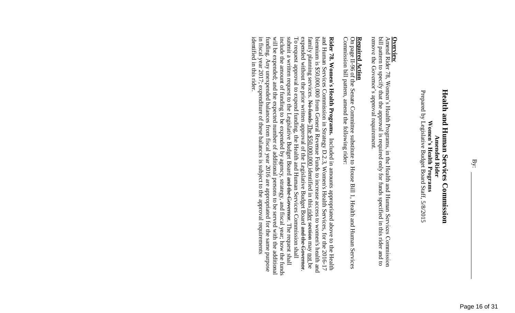remove the Governor's approval requirement. bill pattern to specify that the approval is required only for funds specified in this rider and to remove the Governor's approval requirement. bill pattern to specify that the approval is required only for funds specified in this rider and to Amend **Overview** Rider 78, Women's Health Programs, in the Health and Human Services Commission

# **Required Action**

Commission bill pattern, amend the following rider: Commission bill pattern, amend On page II-96 of the Senate Committee substitute to House Bill 1, Health and Human Services the following rider:

**Rider 78. Women's Health Programs.** Included in amounts appropriated above to the Health and Human Services Commission in Strategy D.2.3, Women's Health Services, for the 2016-17 and Human Services Commission in Strategy identified in this rider in fiscal year 2017; expenditure of these balances is subject to the approval requirements funding. Any unexpended balances from fiscal year 2016 are appropriated for the same purpose will be expended; and the expected number of additional persons to be served with the additional include the amount of funding to be expended by agency, strategy, and fiscal year; submit a written request to the Legislative Budget Board <del>and the Governor</del>. The request shall To request approval to expend funding, the Health and Human Services Commission shall expended without the prior written approval of the Legislative Budget Board <del>and the Governor</del> biennium is \$50,000,000 from General Revenue Funds to increase access to women's health and identified in this rider. in fiscal year 2017; expenditure of these ba funding. Any unexpended balances from fiscal year 2016 are appropriated for the same purpose will be expended; and the expected number of additional persons to be served with the additional include the amount of funding to be expended by agency, strategy, and fiscal year; how the funds submit a written request to the Legislative Budget Board To request approval to expend funding, the Health and Human Services Commission shall expended without the prior written approval of the Legislative Budget Board and the Governor. family planning servi biennium is \$50,000,000 from General Revenue Funds to increase access to women's health and and Human Services Commission in Strategy D.2.3, Women's Health Services, for the 2016-17 **Rider 78. Women's Health Programs.** ces. No funds The \$50,000,000 identified in this Included in amounts appropriated above to the Health lances is subject to the approval requirements and the Governor. The request shall rider section how the funds may not be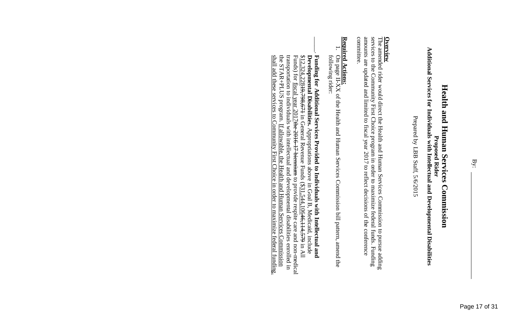# Additional Services for Individuals with Intellectual and Developmental Disabilities **Additional Services for Individuals with Intellectual and Developmental Disabilities**

Prepared by LBB Staff, 5/6/2015 Prepared by LBB Staff, 5/6/2015

The **Overview** amended rider would direct the Health and Human Services Commission to pursue adding services to the Community First Choice program in order to maximize federal funds. services to the Community First Choice program in order to maximize federal funds. Funding amounts are updated and limited to fiscal year 2017 to reflect decisions of the conference committee. amounts are updated and limited to fiscal year 2017 to reflect decisions of the conference

### **Required Action Required Actions:**

- 1. following rider: following rider: On page II-XX of the Health and Human Services Commission bill pattern, amend the On page II-XX of the Health and Human Services Commission bill pattern, amend
- $\overline{\phantom{a}}$ transportation to individuals with intellectual and developmental disabilities enrolled in the STAR+PLUS program. If allowable, the Health and Human Services Commission<br>the STAR+PLUS program. If allowable, the Health and H  $$12,324,$ shall add these services to Community First Choice in order to maximize federal funding. the STAR+PLUS program. transportation to individuals with intellectual and developmental disabilities 8<u>12.324.22849,798,67</u>4 in General Revenue Funds (\$<u>31.544.10646,144,</u>579 in All<br>Funds) for <u>fiscal year 2017<del>the 2016 17 biennium</del> to provide respite care and non-medical</u> Funds) for fiscal year 2017the 2016-17 biennium \$12,324,22819,798,671 **Developmental Disabilities** Funding for Additional Services Provided to Individuals with Intellectual and **Funding for Additional Services Provided to Individuals with Intellectual and**  in General Revenue Funds If allowable, the Health and Human Services Commission **.** Appropriations above in Goal B, Medicaid, to provide respite care and non-medical (\$31,544,10646,114,579 include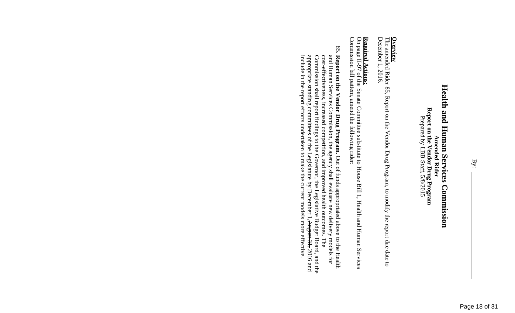December 1, 2016. December 1, 2016. **Overview**<br>The amen amended Rider 85, Report on the Vendor Drug Program, to modify the report due date to

### **Required Actions:**

Commission bill pattern, amend the following rider: Commission bill pattern, amend On page II-97 of the Senate Committee substitute to House Bill 1, Health and Human Services the following rider:

85. Report on the Vendor Drug Program. Out of funds appropriated above to the Health Commission shall report findings to the Governor, the Legislative Budget Board, and the appropriate standing committees of the Legislature by <u>December 1.</u>August 31.2016 and include in the report efforts undertaken to make and Human Services Commission, the agency shall evaluate new delivery models for<br>cost-effectiveness, increased competition, and improved health outcomes. The include in the report efforts undertaken to make the current models more effective. appropriate standing committees of the Legislature by  $\frac{December 1, August 31, August 31}$ Commission shall report findings to the Governor, the Legislative Budget Board, and the and Human Services Commission, the agency shall evaluate new delivery models for **Report on the Vendor Drug Program.** -effectiveness, increased competition, and improved health outcomes. The Out of funds appropriated above to the Health . The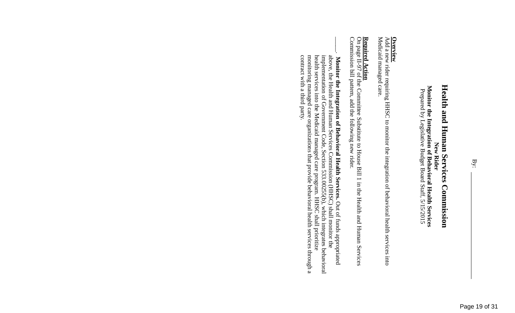**New Rider<br>Monitor the Integration of Behavioral Health Services<br>Prepared by Legislative Budget Board Staff, 5/15/2015 Monitor the Integration of Behavioral Health Services** Prepared by Legislative Budget Board Staff, 5/15/2015

**Overview**<br>Add a new rider requiring HHSC to monitor the integration of behavioral health services into Medicaid managed care. Medicaid managed care. Add a new rider requiring HHSC to monitor the integration of behavioral health services into

# **Required Action**

**Required Action**<br>On page II-97 of the Committee Substitute to House Bill 1 in the Health and Human Services<br>Commission bill pattern, add the following new rider. II-97 of the Committee Substitute to House Bill 1 in the Health and Human Services Commission bill pattern, add the following new rider.

 $\vert$ **Monitor the Integration of Behavioral Health Services.** Out of funds appropriated above, the Health and Human Services Commission (HHSC) shall monitor the health services implementation of Government Code, Section 533.00255(b), which integrates behavioral into the Medicaid managed care program. HHSC shall prioritize health services into the Medicaid managed care program. HHSC shall prioritize<br>monitoring managed care organizations that provide behavioral health services through a<br>contract with a third party. managed care organizations that provide behavioral health services through a contract with a third party.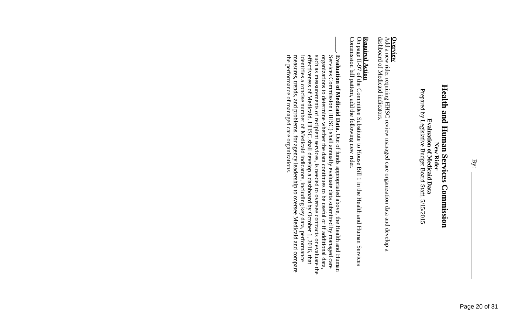Prepared by Legislative Budget Board Staff, 5/15/2015 Prepared by Legislative Budget Board Staff, 5/15/2015

**Overview**<br>Add a new rider requiring HHSC review managed care organization data and develop a<br>Add a new rider requiring HHSC review managed care organization data and develop a dashboard of Medicaid indicators. dashboard of Medicaid indicators. Add a new rider requiring HHSC review managed care organization data and develop a

# **Required Action**

Commission bill pattern, add the following new rider. **Required Action**<br>On page II-97 of the Committee Substitute to House Bill 1 in the Health and Human Services Commission bill pattern, add the following new rider. II-97 of the Committee Substitute to House Bill 1 in the Health and Human Services

 $\vert$ the performance of managed care organizations identifies a concise number of Medicaid indicators, including key data, performance measures, trends, and problems, for agency leadership to oversee Medicaid and compare such as measurements of recipient services, is needed to oversee contracts or evaluate the organizations to determine whether the data continues to be useful or if additional data, the performance of managed care organizations. measures, trends, and p identifies a concise number of Medicaid indicators, including key data, performance effectiveness of Medicaid. HHSC shall develop a dashboard by October 1, 2016, that effectiveness of Medicaid. HHSC shall such as measurements organizations to determine whether the data continues to be useful or if additional data, Services Commission **Evaluation of Medicaid Data.** (HHSC) of recipient services, is needed to oversee contracts roblems, for agency leadership to oversee Medicaid and compare shall Out of funds appropriated above, the Health and Human annually evaluate data submitted by managed care develop a dashboard by October 1, 2016, or evaluate the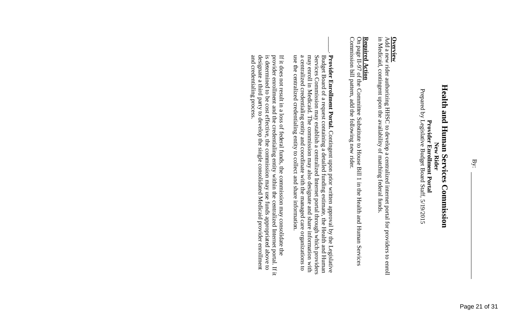**Provider Enrollment Portal**<br>Prepared by Legislative Budget Board Staff, 5/19/2015 Prepared by Legislative Budget Board Staff, 5/19/2015

### **Overview**

in Medicaid, contingent upon the availability of matching federal funds. in Medicaid, contingent upon the availability of matching federal funds. Add a new rider authorizing HHSC to develop a centralized internet portal for providers to enroll

### <u> Required Action</u> **Required Action**

Commission bill pattern, add the following new rider. Commission bill pattern, add the following new rider. On page II-97 of the Committee Substitute to House Bill 1 in the Health and Human Services II-97 of the Committee Substitute to House Bill 1 in the Health and Human Services

 $\vert$ use the centralized credentialing entity to collect and share information. a centralized credentialing entity and coordinate with the managed care organizations to use the centraliz a centralized credentialing entity and coordinate with the managed care organizations to may enroll in Medicaid. The commission may also designate and share information with may enroll in Medicaid. The commission may also designate and share information with Services Commission may establish a centralized Internet portal through which providers Services Commission may Budget Board of a request containing a detailed funding estimate, the Health and Human Budget Board **Provider Enrollment Portal.** Contingent upon prior written approval by the Legislative **Provider Enrollment** of a request containing a detailed funding estimate, ed credentialing entity to collect and share information. establish a centralized Internet portal through which providers Contingent upon prior written approval by the Health and Human the Legislative

designate a third party to develop the single consolidated Medicaid provider enrollment provider enrollment and the credentialing entity within the centralized Internet portal. If it is determined to be cost effective, the commission may use funds appropriated above to If it does not result in a loss of federal funds, the commission may consolidate the and credentialing process. and credentialing process. designate a third party to develop the single consolidated Medicaid provider enrollment is determined to provider enrollment and the credentialing entity If it does not result in a loss of federal funds, the commission may consolidate the be cost effective, the commission may use funds appropriated above to within the centralized Internet portal. If it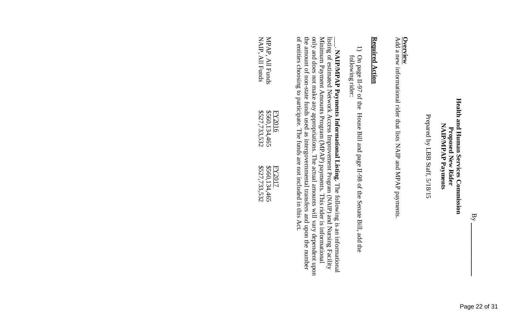Prepared by LBB Staff, 5/18/15 Prepared by LBB Staff, 5/18/15

Add a new **Overview** informational rider that lists NAIP and MPAP payments.

### <u>Required Action</u> **Required Action**

1) On page II-97 of the House Bill and page II-98 of the Senate Bill, add the following rider: following rider: On page II-97 of the House Bill and page II-98 of the Senate Bill, add the

of entities choosing to participate. The funds are not included in this Act. only and does not make any appropriations. The actual amounts will vary dependent upon MAIP/MPAP Payments Informational Listing. The following is an informational listing of estimated Network Access Improvement Program (NAIP) and Nursing Facility the amount of non-state funds used as intergovernmental transfers and upon the number Minimum Payment Amounts Program (MPAP) payments. This rider is informational of entities choosing to participate. The funds are not included in this Act. the amount of non only and does not make any appropriations. The actual amounts will vary dependent upon Minimum Payment Amounts listing of estimated Network Access Improvement **NAIP/MPAP Payments** -state funds used as intergovernmental transfers and upon the number Program (MPAP) **Informational Listing.** payments. This rider is informational Program (NAIP) The following is an informational and Nursing Facility

|                 | <b>FY2016</b> | <b>FY2017</b> |
|-----------------|---------------|---------------|
| MPAP, All Funds | \$560,134,465 | \$560,134,465 |
| NAIP, All Funds | \$527,733,532 | \$527,733,532 |
|                 |               |               |

 $\rm{By}$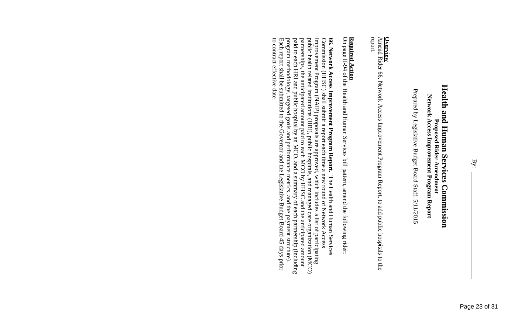Prepared by Legislative Budget Board Staff, 5/11/2015 Prepared by Legislative Budget Board Staff, 5/11/2015

Amend Rider 66 **Overview**<br>Amend Rider 66, Network Access Improvement Program Report, to add public hospitals to the , Network Access Improvement Program Report, to add public hospitals to the report.

# **Required Action**

On page II-94 of the Health and Human Services bill pattern, amend the following rider:

program methodology, targeted goals and performance metrics, and the payment structure).<br>Each report shall be submitted to the Governor and the Legislative Budget Board 45 days prior<br>to contract effective date. to contract effective date Each report shall be submitted to the Governor and the Legislative Budget Board 45 days prior program methodology, targeted goals and performance metrics, and the payment structure). paid to each HRI and public hospital by an MCO, and a summary of each partnership (including paid to each HRI partnerships, the anticipated amount paid to each MCO by HHSC and the anticipated amount partnerships, the anticipated amount paid to each MCO by HHSC and the anticipated amount public health related institutions (HRI), public hospitals, and managed care organization (MCO) public health related institutions (HRI), public hospitals, Improvement Program (NAIP) proposals are approved, which includes a list of participating Improvement Program (NAIP) Commission (HHSC) shall submit a report each time a new round of Network Access Commission (HHSC) shall submit a report each time a new round of Network Access 66. Network Access Improvement Program Report. The Health and Human Services **66. Network Access Improvement Program Report.** and public hospital proposals are approved, which includes a list of participating by an MCO, and a summary of each partnership (including The Health and Human Services and managed care organization (MCO)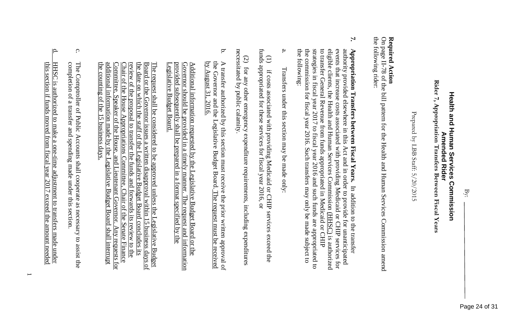### Rider 7, Appropriation Transfers Between Fiscal Years **Rider 7, Appropriation Transfers Between Fiscal Years** Health and Human Services Commission **Health and Human Services Commission Amended Rider Amended Rider**

Prepared by LBB Staff: Prepared by LBB Staff: 5/20/2015

# **Required Action**

the following rider: the following rider: On page II-78 of the bill pattern for the Health and Human Services Commission amend

- **7.**  the commission for fiscal year 2016. Such transfers may only be made subject to to transfer General Revenue from funds appropriated in Medicaid or CHIP the following: the following: the commission for fiscal year 2016. Such transfers may only be made subject to strategies in fiscal year  $2017$  to fiscal year  $2016$  and such funds are appropriated to strategies in fiscal year 2017 to fiscal year 201 to transfer General Revenue from funds appropriated in Medicaid or CHIP eligible clients, the Health and Human Services Commission (HHSC) is authorized eligible clients, the Health and Human Services Commission events that increase costs associated with providing Medicaid or CHIP services for events that increase costs a authority provided elsewhere in this Act and in order to provide for unanticipated authority provided elsewhere in this Act and in order to provide for unanticipated  $\bf{Appropiation\; Transfers\; between\; Fiscal\; Year.}$ **Appropriation Transfers between Fiscal Years.** ssociated with providing Medicaid or CHIP services for 6 and such funds are appropriated to In addition to the transfer In addition to the transfer is authorized
- a. Transfers under this section may be made only: Transfers under this section may be made only:

funds appropriated for these services for fiscal year 2016, or funds appropriated for these services for fiscal year 2016, or (1) if costs associated with providing Medicaid or CHIP services exceed the  $\bigoplus$ if costs associated with providing Medicaid or CHIP services exceed the

necessitated by public calamity necessitated by public calamity. (2) for any other emergency expenditure requirements, including expenditures for any other emergency expenditure requirements, including expenditures

b. by August 31, 2016. the Governor and the Legislative Budget Board. The request must be received A transfer authorized by this section must receive the prior written approval of by August 31, 2016. the Governor and the Legislative Budget Board. A transfer authorized by this section must receive the prior written approval of The request must be received

Legislative Budget Board. provided subsequently shall be prepared in a format specified by the provided subsequently shall be prepared in a format specified by the <u>Additional information requested by the Legislative Budget Board or the Governor should be provided in a timely manner. The request and information</u> Governor should be provided in a timely manner. The request and Additional information requested by the Legislative Budget Board or the Governor should be provided in a timely manner. <u>egislative</u> **Budget Board** 

the counting of the  $15$  business days. the counting of the 15 business days. additional information made by the Legislative Budget Board shall interrupt additional information made by the Legislative Budget Board shall interrupt Committee, Speaker of the Chair of the House Appropriations Committee, Chair of the Senate Finance review of the proposal to transfer the funds and forwards its review to the the date on which the staff of the Legislative Budget Board concludes its the date on which the staff of the Legislative Budget Board concludes its The request shall be considered to be approved unless the Legislative Budget  $\overline{$ Board or the Governor issues a written disapproval within 15 business days of  $\overline{$ Board or the Governor issues a written disapproval wit Board or the Governor issues a written disapproval within 15 business d The request shall be considered to be approved unless the Legislative Budget Chair of the House Appropriations Committee, Chair of the Senate Finance review of the proposal to transfer the funds and forwards its review to the Committee, Speaker of the House, and Lieutenant Governor. House, and Lieutenant Governor. Any requests for Any requests for

- c. completion of a transfer and spending made under this section. The Comptroller of Public Accounts shall cooperate as necessary to assist the The Comptroller of Public Accounts shall cooperate as necessary to assist the of a transfer and spending made under this section.
- $\mathbf{q}$ d. HHSC is authorized to make a one-time adjustment to transfers made under HHSC is authorized to make a one-time adjustment to transfers made under<br>this section if funds moved from fiscal year 2017 exceed the amount needed if funds moved from fiscal year 2017 exceed the amount needed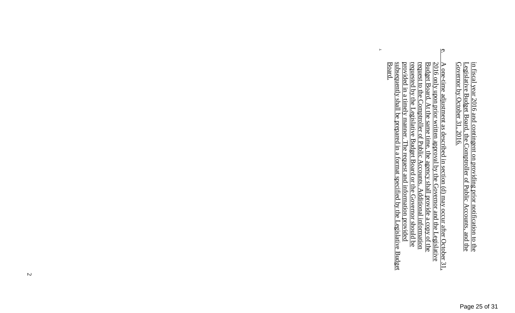in fiscal year 2016 and contingent on providing prior notification to the Legislative Budget Board, the Comptroller of Public Accounts, and the **Governor** by October 31, 2016.

e. subsequently shall be prepared in a format specified by the Legislative Budget<br>Board. subsequently shall be prepared in a format specified by the Legislative Budget provided in a timely manner. The request and information provided provided in a timely requested by the Legislative Budget Board or the Governor should be requested by the Legislative Budget Board or the Governor should be request to the Comptroller of Public Accounts. Additional information request to the Comptroller of Public Accounts. Additional information A one-time adjustment as described in section (d) may occur after October 31,  $2016$  only upon prior written approval by the Governor and the Legislative Budget Board. At the same time, the agency shall provide a copy of Budget Board. At the same time, the agency shall provide a copy of the 2016 only upon prior written approval by A one-time adjustment as described in section  $(d)$  may occur after October 31, manner. The request and information provided the Governor and the Legislative

.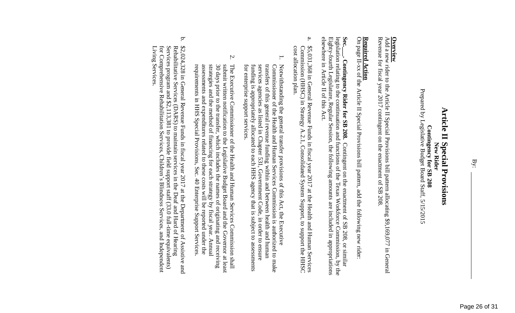### **Article II Special Provisions Article II Special Provisions** Contingency for SB 208 **Contingency for SB 208 New Rider**

Prepared by Legislative Budget Board Staff, 5/15/2015 Prepared by Legislative Budget Board Staff, 5/15/2015

Add a new **Overview** rider to the Article II Special Provisions bill pattern allocating \$9,169,077 in General Revenue for fiscal Revenue for fiscal year 2017 contingent on the enactment of SB 208. contingent on the enactment of SB 208.

# **Required Action**

On page II-xx of the Article II Special Provisions bill pattern, add the following new rider:

Sec.\_\_. Contingency Rider for SB 208. elsewhere in Article II of this Act. legislation relating to the continuation and functions of the Texas Workforce Commission, by the elsewhere in Article II of this Act. Eighty-fourth Legislature, Regular Session, the following amounts are included in appropriations legislation relating to the continuation and functions of the Texas Workforce Commission, by the -fourth Legislature, Regular Session, the following amounts are included in appropriations **Contingency Rider for SB 208.** Contingent on the enactment of SB 208, or similar Contingent on the enactment of SB 208, or similar

- a. Commission (HHSC) in Strategy A.2.1, Consolidated System Support, to support the HHSC \$5,031,368 in General Revenue Funds in fiscal year 2017 at the Health and Human Services cost allocation plan cost allocation plan. Commission (HHSC) in Strategy A.2.1, Consolidated System Support, to support in General Revenue Funds in fiscal year 2017 at the Health and Human Services
- 1. for enterprise support services. funding is appropriately allocated to each HHS agency that is subject to assessments services agencies as listed in Chapter 531, Government Code, in order to ensure transfers of this general revenue funding within and between health and human Notwithstanding the general transfer provisions of this Act, the Executive Commissioner of the Health and Human Services Commission is authorized to make for enterprise support services. funding is appropriately a services agencies as listed in Chapter 531, Government Code, in order to ensure transfers of this general revenue funding within and between health and human Notwithstanding the general transfer provisions of this Act, the Executive ioner of the Health and Human Services Commission is authorized to make llocated to each HHS agency that is subject to assessments
- 2. requirements in HHS Special Provisions, Sec. 40 Enterprise Support Services assessments and expenditures related to these costs will be reported under the strategies and the method of financing for each strategy by fiscal year. Annual 30 days prior to the transfer, which includes the names of originating and receiving submit written notification to the Legislative Budget Board and the Governor at least The Executive Commissioner of the Health and Human Services Commission shall requirements assessments and expenditures related to these costs will be reported under the strategies and the method of financing for each strategy by fiscal year. Annual 30 days prior to the transfer, which includes the names of originating and receiving submit written notification to the Legislative Budget Board and the Governor at least The Executive Commissioner of the Health and Human Services Commission shall in HHS Special Provisions, Sec. 40 Enterprise Support Services.
- b. \$2,024,328 in General Revenue Funds in fiscal year 2017 at the Department of Assistive and Rehabilitative Services (DARS) to maintain services in the Deaf and Hard of Hearing Services program and  $$2,113,381$  to provide f Living Services. Living Services. for Comprehensive Rehabilitation Services, Children's Blindness Services, and Independent Services program and \$2,113,381 to provide field support staff (33.0 full Rehabilitative Services (DARS) to maintain services in the Deaf and Hard of Hearing in General Revenue Funds in fiscal year 2017 at the Department of Assistive and -time equivalents)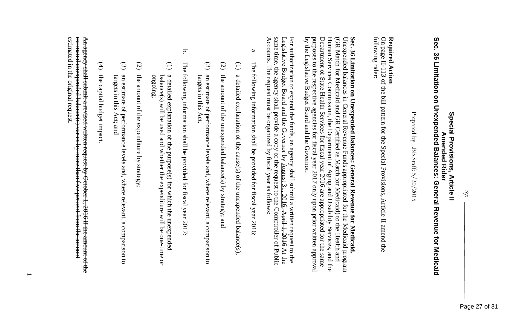### Sec. 36 Limitation on Unexpended Balances: General Revenue for Medicaid **Sec. 36 Limitation on Unexpended Balances: General Revenue for Medicaid Special Provisions, Article II** Special Provisions, Article II **Amended Rider Amended Rider**

Prepared by LBB Staff: Prepared by LBB Staff: 5/20/2015

### **Required Action Required Action**

following rider: following rider: On page II-113 of the bill pattern for the Special Provisions, Article II amend the

### by the Legislative Budget Board and the Governor. Department of State Health Services for fiscal year 2016 are appropriated for the same Human Services Commission, the Department of Aging and Disability Services, and the Unexpended balances in General Revenue Funds appropriated for the Medicaid program Sec. 36 Limitation on Unexpended Balances: General Revenue for Medicaid. purposes to the respective agencies for fiscal year 2017 only upon prior written approval purposes to the respective agencies for fiscal year Department of State Health Services for fiscal year 2016 are appropriated for the same Human Services Commission, the Department of Aging and Disability Services, and the (GR Match for Medicaid and GR Certified as Match for Medicaid) to the Health and (GR Match for Medicaid and GR Certified as Matc Unexpended balances in General Revenue Funds appropriated for the Medicaid program **Sec. 36 Limitation on Unexpended Balances: General Revenue for Medicaid.**  2017 only upon prior written approval h for Medicaid) to the Health and

same time, the agency shall provide a copy of the request to the Comptroller of Public Accounts. The request must be organized by fiscal year as follows: Accounts. The request must be organized by fiscal year as follows: same time, the agency shall provide a copy of the request to the Comptroller of Public Legislative Budget Board and the Governor For authorization to expend the funds, an agency shall submit a written request to the  $\mathbf{\hat{z}}$ August 31, 2016. April 1, 2016 At the

by the Legislative Budget Board and the Governor.

- a. The following information shall be provided for fiscal year 2016: The following information shall be provided for fiscal year 2016:
- (1) a detailed explanation of the cause(s) of the unexpended balance(s); detailed explanation of the cause(s) of the unexpended balance(s);
- (2) the amount of the unexpended balance(s) by strategy; and the amount of the unexpended balance(s) by strategy; and
- (3) an estimate of performance levels and, where relevant, a comparison to targets in this Act. targets in this Act. an estimate of performance levels and, where relevant, a comparison to
- b. The The following information following information shall be provided for fiscal year 2017. shall be provided for fiscal year 2017:
- (1) balance(s) will be used and whether the expenditure will be one a detailed explanation of the purpose(s) for which the unexpended a detailed explanation of the purpose(s) for which the unexpended balance(s) will be used and whether the expenditure will be one-time or ongoing;
- (2) the amount of the expenditure by strategy; the amount of the expenditure by strategy;
- (3) targets in this Act; and an estimate of performance levels and, where relevant, a comparison to targets in this Act; and an estimate of performance levels and, where relevant, a comparison to
- (4) the capital budget impact. the capital budget impact.

estimated in the original request. estimated unexpended balance(s) varies by more than five percent from the amount A<del>n agency shall submit a revised written request by October 1</del> estimated in the original request. estimated unexpended balance(s) varies by more t An agency shall submit a revised written request by October 1, 2016 if the amount of the han five percent from the amount 2016 if the amount of the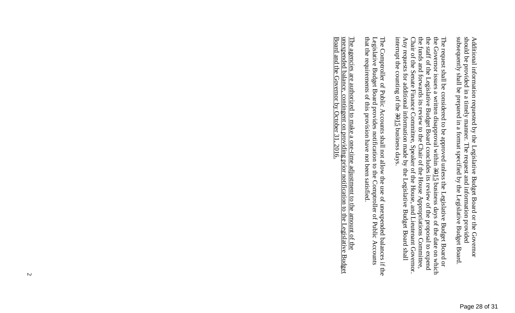subsequently shall be prepared in a format specified by the Legislative Budget Board. should be provided in a timely manner. The request and information provided Additional information requested by the Legislative Budget Board or the Governor subsequently shall be prepare should be provided in a timely manner. The request and information provided Additional information requested by the Legislative Budget Board or the Governor d in a format specified by the Legislative Budget Board.

the funds and forwards its review to the Chair of the House Appropriations Committee, The request shall be considered to be approved unless the Legislative Budget Board or the Governor issues a written disapproval within  $3915$  business days of the date on which interrupt the counting of the  $3915$  business days. the staff of the Legislative Budget Board concludes its review of the proposal to expend interrupt the counting of the 3015 Any requests for additional information made by the Legislative Budget Board shall Any requests for a Chair of the Senate Finance Committee, Speaker of the House, and Lieutenant Governor Chair of the Senate Finance Committee, Speaker of the House, and Lieutenant Governor. the funds and forwards its review to the Chair of the House Appropriations Committee, the staff of the Legislative Budget Board concludes its review of the proposal to expend the Governor issues a written disapproval within The request shall be considered to be approved unless the Legislative Budget Board or dditional information made by the Legislative Budget Board shall business days. business days of the date on which

Legislative Budget Board provides notification to the Comptroller of Public Accounts that the requirements of this provision have not been satisfied. The Comptroller of Public Accounts shall not allow the use of unexpended balances if the that the requirements of this provision have not been satisfied. Legislative Budget Board provides notification to The Comptroller of Public Accounts shall not allow the use of unexpended balances if the the Comptroller of Public Accounts

Board and the Governor by October 31, 2016. unexpended balance, contingent on providing prior notification to the Legislative Budget Board and the Governor by October 31, 2016. unexpended balance, contingent on providing prior notification to the Legislative Budget The agencies are authorized to make a one-time adjustment to the amount of the The agencies are authorized to make a one-time adjustment to the amount of the

 $\overline{v}$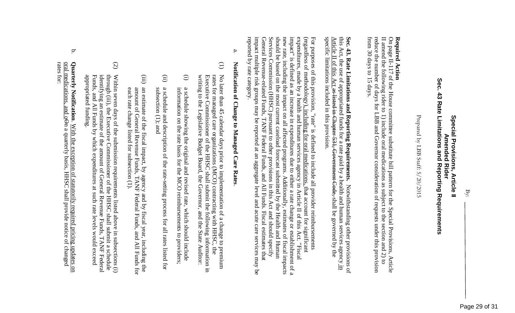### Sec. **Sec. 43 Rate Limitations and Reporting Requirements** 43 Rate Limitations and Reporting Requirements **Special Provisions, Article II** Special Provisions, **Amended Rider Amended Rider Article II**

Prepared by LBB Staff: 5/20/2015 Prepared by LBB Staff: 5/20/2015

### **Required Action Required Action**

from 30 days to 15 days. reduce the number of days for LBB and Governor consideration of requests under this provision On page II-117 of the House committee substitute bill pattern for the Special Provisions, from 30 days to 15 days. reduce the number of days for LBB and Governor consideration of requests under this provision  $\Box$ amend the following rider to 1) include oral medications as subject to the section and -117 of the House committee substitute bill pattern for the Special Provisions, Article 2) to **Article** 

specific limitations included in this provision. Sec. 43. Rate Limitations and Reporting Requirements. Notwithstanding other provisions of this Act, the use of appropriated funds for a rate paid by a health and human services agency <u>in</u> specific limitations included in this provision. Article II of this Act this Act, the use of appropriated funds for a rate paid by a health and human services agency **Sec. 43. Rate Limitations and Reporting Requirements.**  as listed in Chapter 531, Government Code, Notwithstanding other provisions of shall be governed by the

should be based on the most current caseload forecast submitted by the Health and Human impact" is defined as an increase in expenditures due to either a rate change or establishment of a new rate, including the impact on all affected programs. Additionally, estimates of fiscal impacts reported by rate category. impact multiple risk groups may be reported at an aggregate level and acute care services may be Services Commission (HHSC) pursuant to other provisions in this Act and should specify General Revenue-related Funds, TANF Federal Funds, and All Funds. Fiscal estimates that expenditures, made by a health and human services agency in Article II of this Act. "Fiscal (regardless of methodology)<u>, including for oral medications,</u> that account for significant reported by rate category. impact multiple risk groups may be reported at an aggregate level and acute care services may be General Revenue Services Commission (HHSC) pursuant to other provisions in this Act and should specify should be based on the most current caseload forecast submitted by the Health and Human new rate, including the impact on all affected programs. Additional impact" is defined as an increase in expenditures due to either a rate change or establishment of a expenditures, made by a health and human services agency in Article II of this Act. "Fiscal (regardless of methodology) For purposes of this provision, "rate" is defined to include all provider reimbursements For purposes of this provision, "rate" is defined to include all provider reimbursements -related Funds, TANF Federal Funds, and All Funds. Fiscal estimates that , including for oral medications, that account for significant ly, estimates of fiscal impacts

# a. **Notification of Change to Managed Care Rates**Notification of Change to Managed Care Rates

- (1) No later than 45 calendar days prior to implementation of a change to premium writing to the Legislative Budget Board, the Governor, and the State Auditor: writing to the Legislative Budget Board, the Governor, and the State Executive Commissioner of the HHSC shall submit the following information in Executive Commissioner of the HHSC shall submit the following information in rates for managed care organizations (MCO) contracting with HHSC, the rates for managed care organizations (MCO) contracting with HHSC, the No later than 45 calendar days prior to implementation of a change to premium
- (i) information on the rate basis for the MCO reimbursements to providers; a schedule showing the original and revised rate, which should include information on the rate basis for the MCO reimbursements to providers; a schedule showing the original and revised rate, which should include
- (ii) subsection (1); and a schedule and description of the rate-setting process for all rates listed for subsection (1); and a schedule and description of the rate-setting process for all rates listed for
- (iii) an estimate of the fiscal impact, by agency and by fiscal year, including the amount of General Revenue Funds, TANF Federal Funds, and All Funds for each rate change listed for subsection (1). each rate change listed for subsection (1). amount of General Revenue Funds, TANF Federal Funds, and All Funds for an estimate of the fiscal impact, by agency and by fiscal year, including the
- (2) through (iii), the Executive Commissioner of the HHSC shall submit a schedule Within seven days of the submission requirements listed above in subsections  $(i)$ appropriated funding. appropriated funding. Funds, and All Funds by which expenditures at such rate levels would exceed Funds, and All Funds by which expenditures at such rate levels w identifying an estimate of the amount of General Revenue Funds, TANF Federal identifying an estimate of the amount of General Revenue Funds, TANF Federal through (iii), the Executive Commissioner of the HHSC shall submit a schedule Within seven days of the submission requirements listed above in subsections (i) ould exceed
- b. rates for: oral medications, and oon a quarterly basis, HHSC shall provide notice of changed oral medications, and oOn a quarterly basis, HHSC shall provide notice of changed Quarterly Notification. With the exception of statutorily required pricing updates on **Quarterly Notification**. With the exception of statutorily required pricing updates on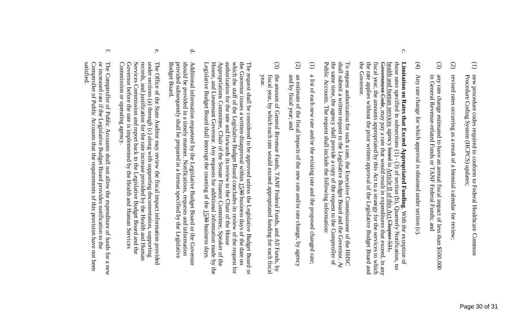- (2) revised rates occurring as a result of a biennial calendar fee review revised rates occurring as a result of a biennial calendar fee review;
- (3) any rate change estimated to have an annual fiscal impact of less than \$500,000 in General Revenue-related Funds or TANF Federal Funds; and any rate change estimated to have an annual fiscal impact of less than \$500,000 Revenue-related Funds or TANF Federal Funds; and
- $\widehat{4}$ Any rate change for which approval is obtained under section (c). Any rate change for which approval is obtained under section (c).
- c. the Governor. the Governor. the rate applies without the prior written approval of the Legislative Budget Board and the rate applies without the prior written approval of the Legislative Budget Board and fiscal year, the amounts appropriated by this Act to a strategy for the services to which fiscal year, the amounts appropriated by this Act to a strategy for the services to which Government Code, may pay a rate that would result in expenditures that exceed, in any Government Code, may pay a rate that would result in expenditures that exceed, in any health and human services agency listed in Article II of this Act Chapter 531. health and human services those rates specified in subsections  $(1)$  -  $(3)$  of section (b), Quarterly Notification, no those rates specified in subsections (1) - Limitation on Rates that Exceed Appropriated Funding. With the exception of **Limitation on Rates that Exceed Appropriated Funding**agency listed (3) of section (b), Quarterly Notification, no of this Act Chapter 531, . With the exception of

shall submit a written request to the Legislative Budget Board and the Governor. At the same time, the agency shall provide a copy of the request to the Comptroller of Public Accounts. The request shall include the followi Public Accounts. The request shall include the following information: the same time, the agency shall provide a copy of the request to the Comptroller of shall submit a written request to the L To request authorization for such a rate, the Executive Commissioner of the HHSC To request authorization for such a rate, the Executive Commissioner of the HHSC egislative Budget Board and the Governor. At

- (1) a list of each new rate and/or the existing rate and the proposed changed rate; a list of each new rate and/or the existing rate and the proposed changed rate;
- (2) and by fiscal year; and an estimate of the fiscal impacts of the new rate and/or rate change, by agency and by fiscal year; and an estimate of the fiscal impacts of the new rate and/or rate change, by agency
- (3) fiscal year, by which each rate would exceed appropriated funding for each fiscal<br>year. the amount of General Revenue Funds, TANF Federal Funds, and All Funds, by fiscal year, by which each rate would e the amount of General Revenue Funds, TANF Federal Funds, and All Funds, by xceed appropriated funding for each fiscal

Legislative Budget Board shall interrupt the counting of the 1530 House, and Lieutenant Governor. Any requests for additional information made by the House, and Lieutenant Governor. Any requests for Appropriations Committee, Chair of the Senate Finance Committee, Speaker of the authorization for the rate and forwards its review to the Chair of the House authorization for the rate and forwards its review to the Chair of the House which the staff of the Legislative Budget Board concludes its review of the request for which the staff of the Legislative Budget Board concludes its review of the request for The request shall be considered to be approved unless the Legislative Budget Board or the Governor issues a written disapproval within  $\underline{1530}$  business days of the date on the Governor issues a written disapproval within The request shall be considered to be approved unless the Legislative Budget Board or Legislative Budget Board shall interrupt the counting of the  $\overline{1530}$  business days Appropriations Committee, Chair of the Senate Finance Committee, Speaker of the additional information made by the business days of the date on business days.

- d. should be provided in a timely manner. Notifications, requests and information **Budget Board** Budget Board. provided subsequently shall be prepared in a format specified by the Legislative provided subsequently shall be prepared in a format specified by the Legislative should be provided in a timely manner. Notifications, Additional information requested by the Legislative Budget Board or the Governor Additional information requested by the Legislative Budget Board or the Governor requests and information
- e. Commission or operating agency. Commission or operating agency. Governor before the rate is implemented by the Health and Human Services Governor before the rate is implemented by the Health and Human Servi Services Commission and report back to the Legislative Budget Board and the Services Commission and report back to the Legislative Budget Board and the records, and justification for the rate increase provided by the Health and Human records, and justification for the rate increase provided by the Health and Human under sections (a) through (c) along with supporting documentation, supporting under sections (a) through (c) along with supporti The Office of the State Auditor may review the fiscal impact information provided The Office of the State Auditor may review the fiscal impact information provided ng documentation, supporting
- $\overline{\phantom{a}}$ satisfied. Comptroller of Public Accounts that the requirements of this provision have not been Comptroller of Public Accounts that the requirement or increased rate if the Legislative Budget Board provides notification to the or increased rate if the Legislative Budget Board provides notification to the The Comptroller of Public Accounts shall not allow the expenditure of funds for a new The Comptroller of Public Accounts shall not allow the expenditure of funds for a new s of this provision have not been